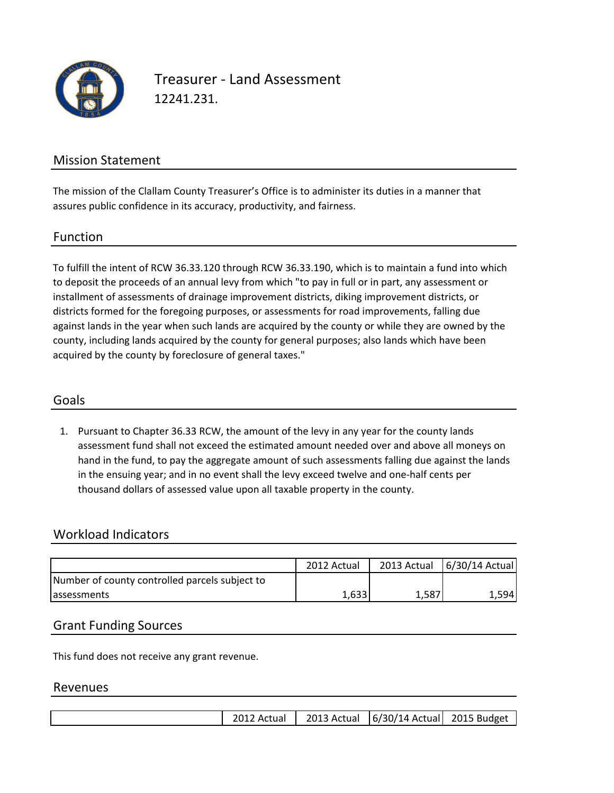

Treasurer - Land Assessment 12241.231.

### Mission Statement

The mission of the Clallam County Treasurer's Office is to administer its duties in a manner that assures public confidence in its accuracy, productivity, and fairness.

#### Function

To fulfill the intent of RCW 36.33.120 through RCW 36.33.190, which is to maintain a fund into which to deposit the proceeds of an annual levy from which "to pay in full or in part, any assessment or installment of assessments of drainage improvement districts, diking improvement districts, or districts formed for the foregoing purposes, or assessments for road improvements, falling due against lands in the year when such lands are acquired by the county or while they are owned by the county, including lands acquired by the county for general purposes; also lands which have been acquired by the county by foreclosure of general taxes."

### Goals

1. Pursuant to Chapter 36.33 RCW, the amount of the levy in any year for the county lands assessment fund shall not exceed the estimated amount needed over and above all moneys on hand in the fund, to pay the aggregate amount of such assessments falling due against the lands in the ensuing year; and in no event shall the levy exceed twelve and one-half cents per thousand dollars of assessed value upon all taxable property in the county.

### Workload Indicators

|                                                | 2012 Actual |       | 2013 Actual 6/30/14 Actual |
|------------------------------------------------|-------------|-------|----------------------------|
| Number of county controlled parcels subject to |             |       |                            |
| <b>assessments</b>                             | 1,633       | 1,587 | 1.5941                     |

### Grant Funding Sources

This fund does not receive any grant revenue.

#### Revenues

|  |  | 2012 Actual |  | 2013 Actual   6/30/14 Actual   2015 Budget |  |
|--|--|-------------|--|--------------------------------------------|--|
|--|--|-------------|--|--------------------------------------------|--|